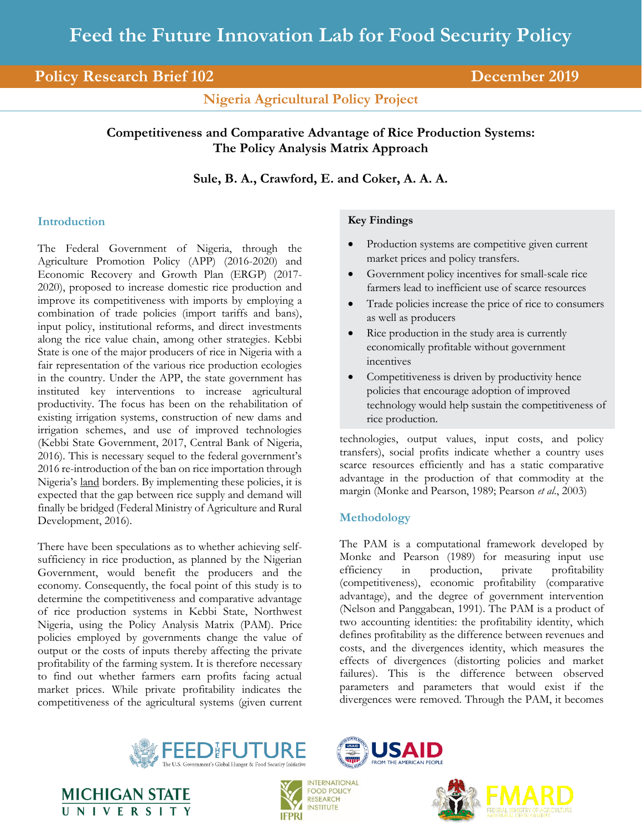# **Policy Research Brief 102 December 2019**

**Nigeria Agricultural Policy Project**

# **Competitiveness and Comparative Advantage of Rice Production Systems: The Policy Analysis Matrix Approach**

**Sule, B. A., Crawford, E. and Coker, A. A. A.**

# **Introduction**

The Federal Government of Nigeria, through the Agriculture Promotion Policy (APP) (2016-2020) and Economic Recovery and Growth Plan (ERGP) (2017- 2020), proposed to increase domestic rice production and improve its competitiveness with imports by employing a combination of trade policies (import tariffs and bans), input policy, institutional reforms, and direct investments along the rice value chain, among other strategies. Kebbi State is one of the major producers of rice in Nigeria with a fair representation of the various rice production ecologies in the country. Under the APP, the state government has instituted key interventions to increase agricultural productivity. The focus has been on the rehabilitation of existing irrigation systems, construction of new dams and irrigation schemes, and use of improved technologies (Kebbi State Government, 2017, Central Bank of Nigeria, 2016). This is necessary sequel to the federal government's 2016 re-introduction of the ban on rice importation through Nigeria's land borders. By implementing these policies, it is expected that the gap between rice supply and demand will finally be bridged (Federal Ministry of Agriculture and Rural Development, 2016).

There have been speculations as to whether achieving selfsufficiency in rice production, as planned by the Nigerian Government, would benefit the producers and the economy. Consequently, the focal point of this study is to determine the competitiveness and comparative advantage of rice production systems in Kebbi State, Northwest Nigeria, using the Policy Analysis Matrix (PAM). Price policies employed by governments change the value of output or the costs of inputs thereby affecting the private profitability of the farming system. It is therefore necessary to find out whether farmers earn profits facing actual market prices. While private profitability indicates the competitiveness of the agricultural systems (given current

## **Key Findings**

- Production systems are competitive given current market prices and policy transfers.
- Government policy incentives for small-scale rice farmers lead to inefficient use of scarce resources
- Trade policies increase the price of rice to consumers as well as producers
- Rice production in the study area is currently economically profitable without government incentives
- Competitiveness is driven by productivity hence policies that encourage adoption of improved technology would help sustain the competitiveness of rice production.

technologies, output values, input costs, and policy transfers), social profits indicate whether a country uses scarce resources efficiently and has a static comparative advantage in the production of that commodity at the margin (Monke and Pearson, 1989; Pearson *et al*., 2003)

# **Methodology**

The PAM is a computational framework developed by Monke and Pearson (1989) for measuring input use efficiency in production, private profitability (competitiveness), economic profitability (comparative advantage), and the degree of government intervention (Nelson and Panggabean, 1991). The PAM is a product of two accounting identities: the profitability identity, which defines profitability as the difference between revenues and costs, and the divergences identity, which measures the effects of divergences (distorting policies and market failures). This is the difference between observed parameters and parameters that would exist if the divergences were removed. Through the PAM, it becomes









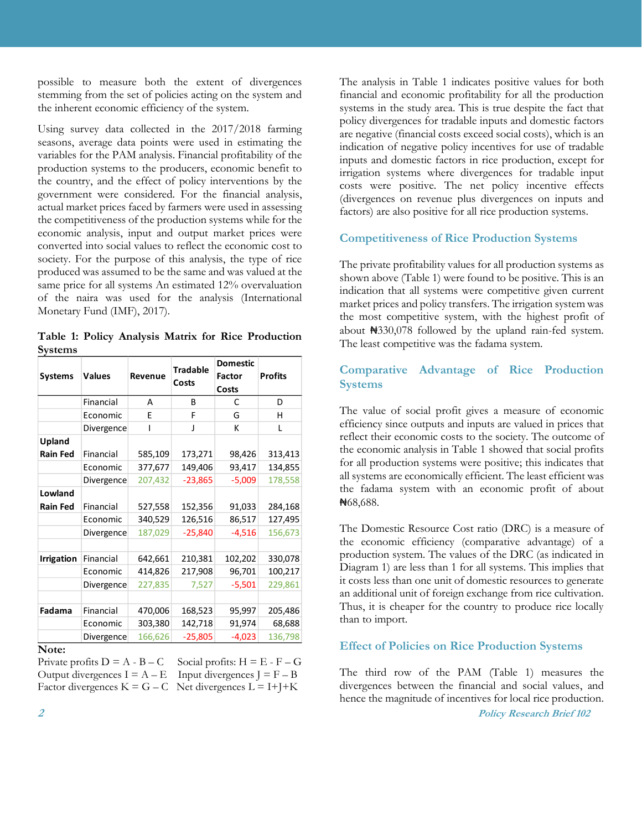possible to measure both the extent of divergences stemming from the set of policies acting on the system and the inherent economic efficiency of the system.

Using survey data collected in the 2017/2018 farming seasons, average data points were used in estimating the variables for the PAM analysis. Financial profitability of the production systems to the producers, economic benefit to the country, and the effect of policy interventions by the government were considered. For the financial analysis, actual market prices faced by farmers were used in assessing the competitiveness of the production systems while for the economic analysis, input and output market prices were converted into social values to reflect the economic cost to society. For the purpose of this analysis, the type of rice produced was assumed to be the same and was valued at the same price for all systems An estimated 12% overvaluation of the naira was used for the analysis (International Monetary Fund (IMF), 2017).

**Table 1: Policy Analysis Matrix for Rice Production Systems**

| <b>Systems</b>      | Values     | Revenue | <b>Tradable</b><br>Costs | <b>Domestic</b><br><b>Factor</b><br>Costs | <b>Profits</b> |
|---------------------|------------|---------|--------------------------|-------------------------------------------|----------------|
|                     | Financial  | A       | В                        | C                                         | D              |
|                     | Economic   | F       | F                        | G                                         | н              |
|                     | Divergence | ı       | J                        | К                                         | L              |
| Upland              |            |         |                          |                                           |                |
| Rain Fed            | Financial  | 585,109 | 173,271                  | 98,426                                    | 313,413        |
|                     | Economic   | 377,677 | 149,406                  | 93,417                                    | 134,855        |
|                     | Divergence | 207,432 | $-23,865$                | $-5,009$                                  | 178,558        |
| Lowland<br>Rain Fed | Financial  | 527,558 | 152,356                  | 91,033                                    | 284,168        |
|                     | Economic   | 340,529 | 126,516                  | 86,517                                    | 127,495        |
|                     | Divergence | 187,029 | $-25,840$                | $-4,516$                                  | 156,673        |
| Irrigation          | Financial  | 642,661 | 210,381                  | 102,202                                   | 330,078        |
|                     | Economic   | 414,826 | 217,908                  | 96,701                                    | 100,217        |
|                     | Divergence | 227,835 | 7,527                    | $-5,501$                                  | 229,861        |
| Fadama              | Financial  | 470,006 | 168,523                  | 95,997                                    | 205,486        |
|                     | Economic   | 303,380 | 142,718                  | 91,974                                    | 68,688         |
| $N_{0}$ toi         | Divergence | 166,626 | $-25,805$                | $-4,023$                                  | 136,798        |

#### **Note:**

Private profits  $D = A - B - C$  Social profits:  $H = E - F - G$ Output divergences  $I = A - E$  Input divergences  $J = F - B$ Factor divergences  $K = G - C$  Net divergences  $L = I + J + K$ 

The analysis in Table 1 indicates positive values for both financial and economic profitability for all the production systems in the study area. This is true despite the fact that policy divergences for tradable inputs and domestic factors are negative (financial costs exceed social costs), which is an indication of negative policy incentives for use of tradable inputs and domestic factors in rice production, except for irrigation systems where divergences for tradable input costs were positive. The net policy incentive effects (divergences on revenue plus divergences on inputs and factors) are also positive for all rice production systems.

### **Competitiveness of Rice Production Systems**

The private profitability values for all production systems as shown above (Table 1) were found to be positive. This is an indication that all systems were competitive given current market prices and policy transfers. The irrigation system was the most competitive system, with the highest profit of about ₦330,078 followed by the upland rain-fed system. The least competitive was the fadama system.

## **Comparative Advantage of Rice Production Systems**

The value of social profit gives a measure of economic efficiency since outputs and inputs are valued in prices that reflect their economic costs to the society. The outcome of the economic analysis in Table 1 showed that social profits for all production systems were positive; this indicates that all systems are economically efficient. The least efficient was the fadama system with an economic profit of about ₦68,688.

The Domestic Resource Cost ratio (DRC) is a measure of the economic efficiency (comparative advantage) of a production system. The values of the DRC (as indicated in Diagram 1) are less than 1 for all systems. This implies that it costs less than one unit of domestic resources to generate an additional unit of foreign exchange from rice cultivation. Thus, it is cheaper for the country to produce rice locally than to import.

#### **Effect of Policies on Rice Production Systems**

The third row of the PAM (Table 1) measures the divergences between the financial and social values, and hence the magnitude of incentives for local rice production.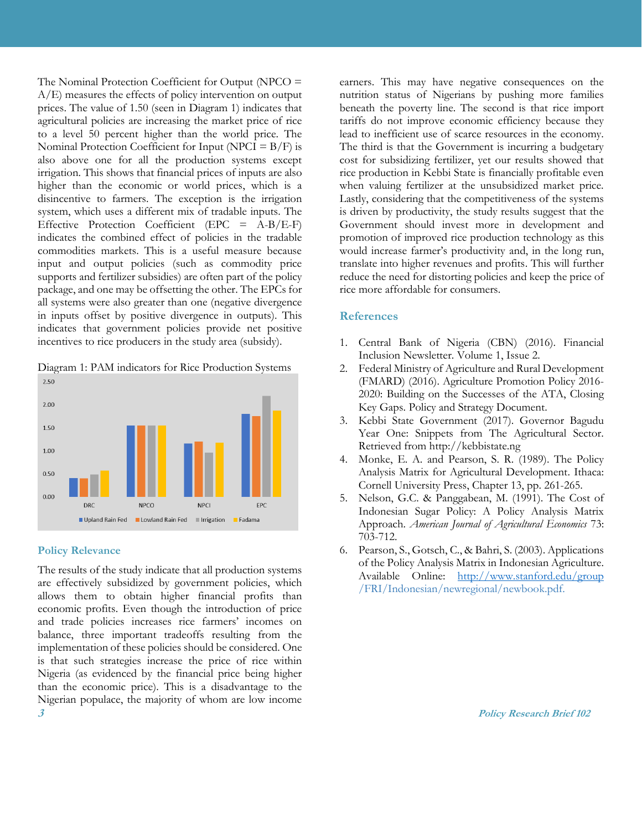The Nominal Protection Coefficient for Output (NPCO = A/E) measures the effects of policy intervention on output prices. The value of 1.50 (seen in Diagram 1) indicates that agricultural policies are increasing the market price of rice to a level 50 percent higher than the world price. The Nominal Protection Coefficient for Input (NPCI  $=$  B/F) is also above one for all the production systems except irrigation. This shows that financial prices of inputs are also higher than the economic or world prices, which is a disincentive to farmers. The exception is the irrigation system, which uses a different mix of tradable inputs. The Effective Protection Coefficient (EPC = A-B/E-F) indicates the combined effect of policies in the tradable commodities markets. This is a useful measure because input and output policies (such as commodity price supports and fertilizer subsidies) are often part of the policy package, and one may be offsetting the other. The EPCs for all systems were also greater than one (negative divergence in inputs offset by positive divergence in outputs). This indicates that government policies provide net positive incentives to rice producers in the study area (subsidy).

Diagram 1: PAM indicators for Rice Production Systems



#### **Policy Relevance**

**3 Policy Research Brief 102** The results of the study indicate that all production systems are effectively subsidized by government policies, which allows them to obtain higher financial profits than economic profits. Even though the introduction of price and trade policies increases rice farmers' incomes on balance, three important tradeoffs resulting from the implementation of these policies should be considered. One is that such strategies increase the price of rice within Nigeria (as evidenced by the financial price being higher than the economic price). This is a disadvantage to the Nigerian populace, the majority of whom are low income

earners. This may have negative consequences on the nutrition status of Nigerians by pushing more families beneath the poverty line. The second is that rice import tariffs do not improve economic efficiency because they lead to inefficient use of scarce resources in the economy. The third is that the Government is incurring a budgetary cost for subsidizing fertilizer, yet our results showed that rice production in Kebbi State is financially profitable even when valuing fertilizer at the unsubsidized market price. Lastly, considering that the competitiveness of the systems is driven by productivity, the study results suggest that the Government should invest more in development and promotion of improved rice production technology as this would increase farmer's productivity and, in the long run, translate into higher revenues and profits. This will further reduce the need for distorting policies and keep the price of rice more affordable for consumers.

### **References**

- 1. Central Bank of Nigeria (CBN) (2016). Financial Inclusion Newsletter. Volume 1, Issue 2.
- 2. Federal Ministry of Agriculture and Rural Development (FMARD) (2016). Agriculture Promotion Policy 2016- 2020: Building on the Successes of the ATA, Closing Key Gaps. Policy and Strategy Document.
- 3. Kebbi State Government (2017). Governor Bagudu Year One: Snippets from The Agricultural Sector. Retrieved from http://kebbistate.ng
- 4. Monke, E. A. and Pearson, S. R. (1989). The Policy Analysis Matrix for Agricultural Development. Ithaca: Cornell University Press, Chapter 13, pp. 261-265.
- 5. Nelson, G.C. & Panggabean, M. (1991). The Cost of Indonesian Sugar Policy: A Policy Analysis Matrix Approach. *American Journal of Agricultural Economics* 73: 703-712.
- 6. Pearson, S., Gotsch, C., & Bahri, S. (2003). Applications of the Policy Analysis Matrix in Indonesian Agriculture. Available Online: <http://www.stanford.edu/group> /FRI/Indonesian/newregional/newbook.pdf.